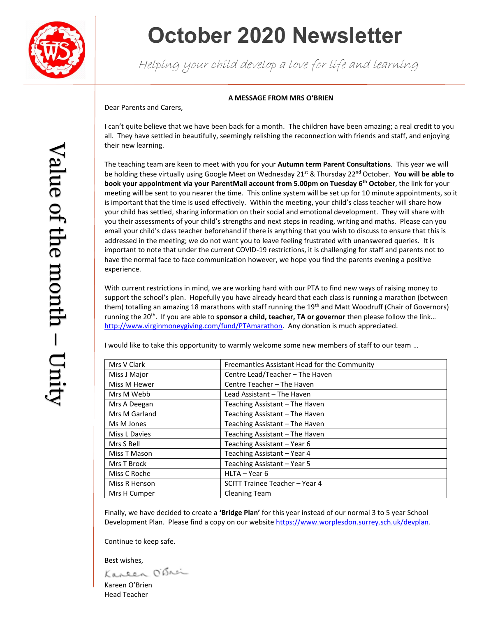

# **October 2020 Newsletter**

Helping your child develop a love for life and learning

### **A MESSAGE FROM MRS O'BRIEN**

Dear Parents and Carers,

I can't quite believe that we have been back for a month. The children have been amazing; a real credit to you all. They have settled in beautifully, seemingly relishing the reconnection with friends and staff, and enjoying their new learning.

The teaching team are keen to meet with you for your **Autumn term Parent Consultations**. This year we will be holding these virtually using Google Meet on Wednesday 21<sup>st</sup> & Thursday 22<sup>nd</sup> October. **You will be able to book your appointment via your ParentMail account from 5.00pm on Tuesday 6th October**, the link for your meeting will be sent to you nearer the time. This online system will be set up for 10 minute appointments, so it is important that the time is used effectively. Within the meeting, your child's class teacher will share how your child has settled, sharing information on their social and emotional development. They will share with you their assessments of your child's strengths and next steps in reading, writing and maths. Please can you email your child's class teacher beforehand if there is anything that you wish to discuss to ensure that this is addressed in the meeting; we do not want you to leave feeling frustrated with unanswered queries. It is important to note that under the current COVID-19 restrictions, it is challenging for staff and parents not to have the normal face to face communication however, we hope you find the parents evening a positive experience.

With current restrictions in mind, we are working hard with our PTA to find new ways of raising money to support the school's plan. Hopefully you have already heard that each class is running a marathon (between them) totalling an amazing 18 marathons with staff running the 19<sup>th</sup> and Matt Woodruff (Chair of Governors) running the 20<sup>th</sup>. If you are able to **sponsor a child, teacher, TA or governor** then please follow the link... [http://www.virginmoneygiving.com/fund/PTAmarathon.](http://www.virginmoneygiving.com/fund/PTAmarathon) Any donation is much appreciated.

I would like to take this opportunity to warmly welcome some new members of staff to our team …

| Mrs V Clark   | Freemantles Assistant Head for the Community |
|---------------|----------------------------------------------|
| Miss J Major  | Centre Lead/Teacher - The Haven              |
| Miss M Hewer  | Centre Teacher - The Haven                   |
| Mrs M Webb    | Lead Assistant - The Haven                   |
| Mrs A Deegan  | Teaching Assistant - The Haven               |
| Mrs M Garland | Teaching Assistant - The Haven               |
| Ms M Jones    | Teaching Assistant - The Haven               |
| Miss L Davies | Teaching Assistant – The Haven               |
| Mrs S Bell    | Teaching Assistant - Year 6                  |
| Miss T Mason  | Teaching Assistant - Year 4                  |
| Mrs T Brock   | Teaching Assistant - Year 5                  |
| Miss C Roche  | HLTA - Year 6                                |
| Miss R Henson | SCITT Trainee Teacher - Year 4               |
| Mrs H Cumper  | <b>Cleaning Team</b>                         |

Finally, we have decided to create a **'Bridge Plan'** for this year instead of our normal 3 to 5 year School Development Plan. Please find a copy on our websit[e https://www.worplesdon.surrey.sch.uk/devplan.](https://www.worplesdon.surrey.sch.uk/devplan)

Continue to keep safe.

Best wishes,<br>Kaneen O'Snei

Kareen O'Brien Head Teacher